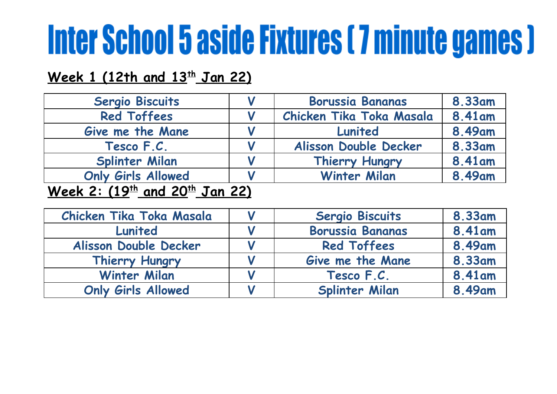## **Week 1 (12th and 13 th Jan 22)**

| <b>Sergio Biscuits</b>                | <b>Borussia Bananas</b>  | 8.33am  |
|---------------------------------------|--------------------------|---------|
| <b>Red Toffees</b>                    | Chicken Tika Toka Masala | 8.41 am |
| Give me the Mane                      | Lunited                  | 8.49am  |
| Tesco F.C.                            | Alisson Double Decker    | 8.33am  |
| <b>Splinter Milan</b>                 | Thierry Hungry           | 8.41 am |
| <b>Only Girls Allowed</b>             | <b>Winter Milan</b>      | 8.49am  |
| $M_{\odot}$ 2. (10th and 20th Tan 22) |                          |         |

## **Week 2: (19 th and 20 th Jan 22)**

| Chicken Tika Toka Masala  | <b>Sergio Biscuits</b>  | 8.33am  |
|---------------------------|-------------------------|---------|
| Lunited                   | <b>Borussia Bananas</b> | 8.41 am |
| Alisson Double Decker     | <b>Red Toffees</b>      | 8.49am  |
| Thierry Hungry            | Give me the Mane        | 8.33am  |
| <b>Winter Milan</b>       | Tesco F.C.              | 8.41am  |
| <b>Only Girls Allowed</b> | <b>Splinter Milan</b>   | 8.49am  |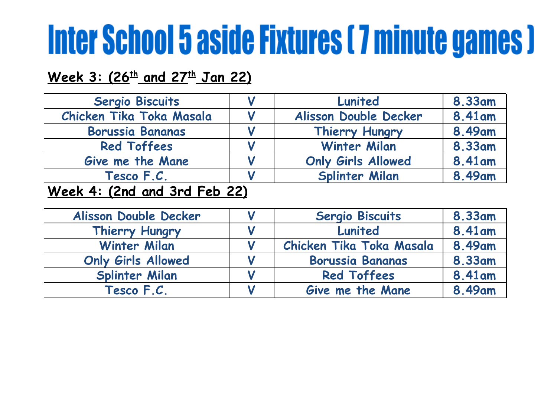## **Week 3: (26 th and 27 th Jan 22)**

| Sergio Biscuits                                                                                                                                                                                                                                                                                                                    | Lunited                   | 8.33am |
|------------------------------------------------------------------------------------------------------------------------------------------------------------------------------------------------------------------------------------------------------------------------------------------------------------------------------------|---------------------------|--------|
| Chicken Tika Toka Masala                                                                                                                                                                                                                                                                                                           | Alisson Double Decker     | 8.41am |
| <b>Borussia Bananas</b>                                                                                                                                                                                                                                                                                                            | Thierry Hungry            | 8.49am |
| <b>Red Toffees</b>                                                                                                                                                                                                                                                                                                                 | <b>Winter Milan</b>       | 8.33am |
| Give me the Mane                                                                                                                                                                                                                                                                                                                   | <b>Only Girls Allowed</b> | 8.41am |
| Tesco F.C.                                                                                                                                                                                                                                                                                                                         | <b>Splinter Milan</b>     | 8.49am |
| $\mathbf{M}$ $\mathbf{L}$ $\mathbf{A}$ $\mathbf{A}$ $\mathbf{A}$ $\mathbf{A}$ $\mathbf{A}$ $\mathbf{A}$ $\mathbf{A}$ $\mathbf{A}$ $\mathbf{A}$ $\mathbf{A}$ $\mathbf{A}$ $\mathbf{A}$ $\mathbf{A}$ $\mathbf{A}$ $\mathbf{A}$ $\mathbf{A}$ $\mathbf{A}$ $\mathbf{A}$ $\mathbf{A}$ $\mathbf{A}$ $\mathbf{A}$ $\mathbf{A}$ $\mathbf{$ |                           |        |

#### **Week 4: (2nd and 3rd Feb 22)**

| Alisson Double Decker     | Sergio Biscuits          | 8.33am |
|---------------------------|--------------------------|--------|
| Thierry Hungry            | Lunited                  | 8.41am |
| <b>Winter Milan</b>       | Chicken Tika Toka Masala | 8.49am |
| <b>Only Girls Allowed</b> | <b>Borussia Bananas</b>  | 8.33am |
| <b>Splinter Milan</b>     | <b>Red Toffees</b>       | 8.41am |
| Tesco F.C.                | Give me the Mane         | 8.49am |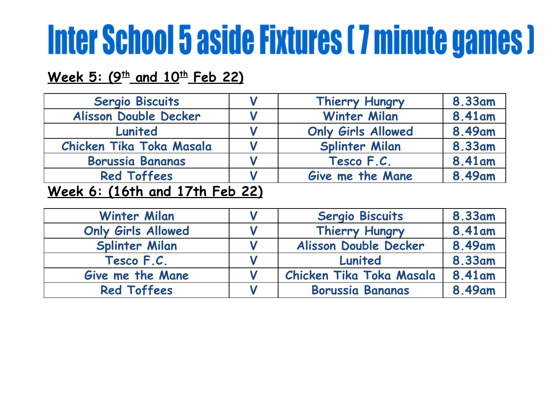## **Week 5: (9 th and 10 th Feb 22)**

| Sergio Biscuits                                                                                                    | Thierry Hungry            | <b>8.33am</b> |
|--------------------------------------------------------------------------------------------------------------------|---------------------------|---------------|
| Alisson Double Decker                                                                                              | <b>Winter Milan</b>       | 8.41am        |
| Lunited                                                                                                            | <b>Only Girls Allowed</b> | 8.49am        |
| Chicken Tika Toka Masala                                                                                           | Splinter Milan            | 8.33am        |
| <b>Borussia Bananas</b>                                                                                            | Tesco F.C.                | 8.41am        |
| <b>Red Toffees</b>                                                                                                 | Give me the Mane          | 8.49am        |
| $\mathbf{M}$ and $\mathbf{M}$ and $\mathbf{M}$ and $\mathbf{M}$ and $\mathbf{M}$ and $\mathbf{M}$ and $\mathbf{M}$ |                           |               |

### **Week 6: (16th and 17th Feb 22)**

| <b>Winter Milan</b>       | <b>Sergio Biscuits</b>   | 8.33am |
|---------------------------|--------------------------|--------|
| <b>Only Girls Allowed</b> | Thierry Hungry           | 8.41am |
| <b>Splinter Milan</b>     | Alisson Double Decker    | 8.49am |
| Tesco F.C.                | Lunited                  | 8.33am |
| Give me the Mane          | Chicken Tika Toka Masala | 8.41am |
| <b>Red Toffees</b>        | <b>Borussia Bananas</b>  | 8.49am |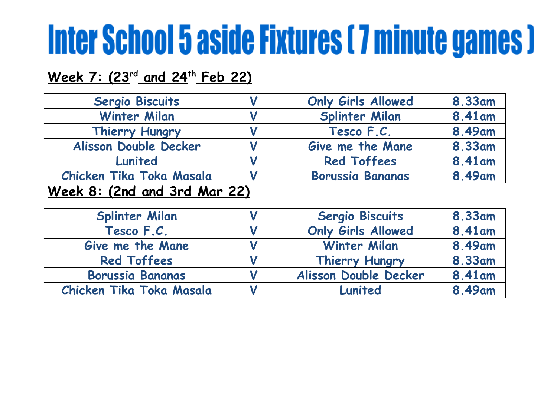## **Week 7: (23 rd and 24 th Feb 22)**

| <b>Sergio Biscuits</b>       | <b>Only Girls Allowed</b> | 8.33am |
|------------------------------|---------------------------|--------|
| <b>Winter Milan</b>          | <b>Splinter Milan</b>     | 8.41am |
| Thierry Hungry               | Tesco F.C.                | 8.49am |
| Alisson Double Decker        | Give me the Mane          | 8.33am |
| Lunited                      | <b>Red Toffees</b>        | 8.41am |
| Chicken Tika Toka Masala     | <b>Borussia Bananas</b>   | 8.49am |
| Week 8: (2nd and 3rd Mar 22) |                           |        |

| <b>Splinter Milan</b>    | Sergio Biscuits           | 8.33am |
|--------------------------|---------------------------|--------|
| Tesco F.C.               | <b>Only Girls Allowed</b> | 8.41am |
| Give me the Mane         | <b>Winter Milan</b>       | 8.49am |
| <b>Red Toffees</b>       | Thierry Hungry            | 8.33am |
| <b>Borussia Bananas</b>  | Alisson Double Decker     | 8.41am |
| Chicken Tika Toka Masala | Lunited                   | 8.49am |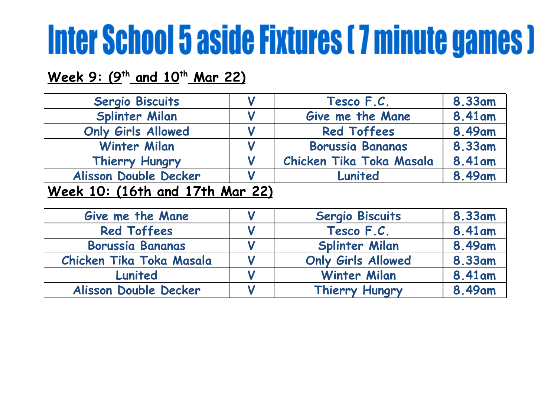### **Week 9: (9 th and 10 th Mar 22)**

| Sergio Biscuits           |                                     | Tesco F.C.               | <b>8.33am</b> |
|---------------------------|-------------------------------------|--------------------------|---------------|
| Splinter Milan            |                                     | Give me the Mane         | 8.41am        |
| <b>Only Girls Allowed</b> |                                     | <b>Red Toffees</b>       | 8.49am        |
| <b>Winter Milan</b>       |                                     | <b>Borussia Bananas</b>  | 8.33am        |
| Thierry Hungry            |                                     | Chicken Tika Toka Masala | 8.41 am       |
| Alisson Double Decker     |                                     | Lunited                  | 8.49am        |
| $\mathbf{A}$              | $\bullet$ $\bullet$<br>$\mathbf{A}$ |                          |               |

### **Week 10: (16th and 17th Mar 22)**

| Give me the Mane         | <b>Sergio Biscuits</b>    | 8.33am  |
|--------------------------|---------------------------|---------|
| <b>Red Toffees</b>       | Tesco F.C.                | 8.41 am |
| <b>Borussia Bananas</b>  | <b>Splinter Milan</b>     | 8.49am  |
| Chicken Tika Toka Masala | <b>Only Girls Allowed</b> | 8.33am  |
| Lunited                  | <b>Winter Milan</b>       | 8.41am  |
| Alisson Double Decker    | Thierry Hungry            | 8.49am  |